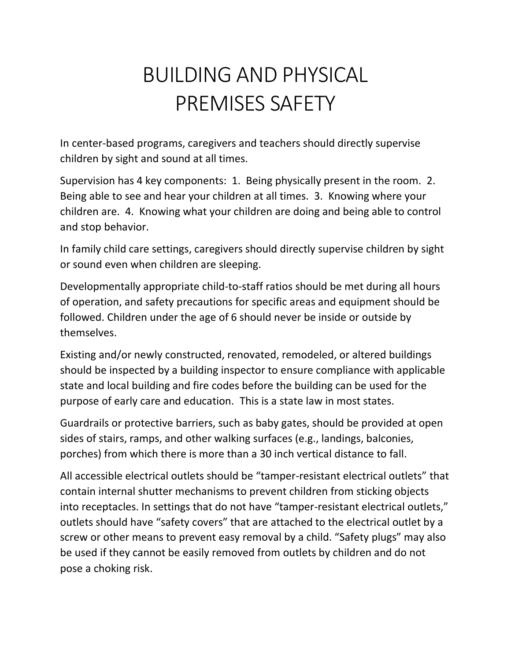## BUILDING AND PHYSICAL PREMISES SAFETY

In center-based programs, caregivers and teachers should directly supervise children by sight and sound at all times.

Supervision has 4 key components: 1. Being physically present in the room. 2. Being able to see and hear your children at all times. 3. Knowing where your children are. 4. Knowing what your children are doing and being able to control and stop behavior.

In family child care settings, caregivers should directly supervise children by sight or sound even when children are sleeping.

Developmentally appropriate child-to-staff ratios should be met during all hours of operation, and safety precautions for specific areas and equipment should be followed. Children under the age of 6 should never be inside or outside by themselves.

Existing and/or newly constructed, renovated, remodeled, or altered buildings should be inspected by a building inspector to ensure compliance with applicable state and local building and fire codes before the building can be used for the purpose of early care and education. This is a state law in most states.

Guardrails or protective barriers, such as baby gates, should be provided at open sides of stairs, ramps, and other walking surfaces (e.g., landings, balconies, porches) from which there is more than a 30 inch vertical distance to fall.

All accessible electrical outlets should be "tamper-resistant electrical outlets" that contain internal shutter mechanisms to prevent children from sticking objects into receptacles. In settings that do not have "tamper-resistant electrical outlets," outlets should have "safety covers" that are attached to the electrical outlet by a screw or other means to prevent easy removal by a child. "Safety plugs" may also be used if they cannot be easily removed from outlets by children and do not pose a choking risk.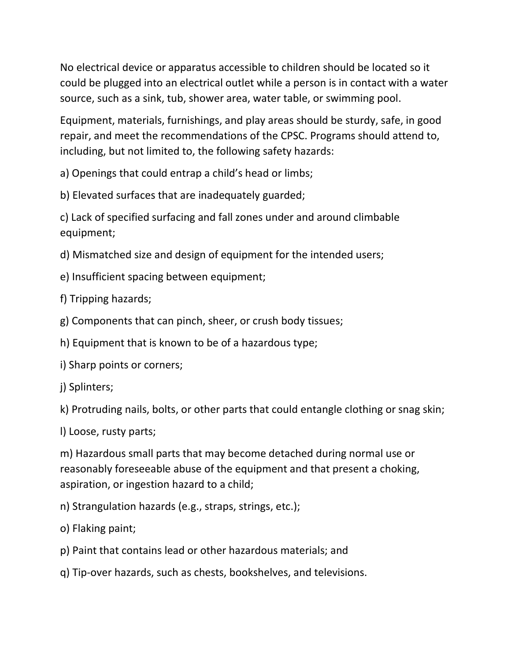No electrical device or apparatus accessible to children should be located so it could be plugged into an electrical outlet while a person is in contact with a water source, such as a sink, tub, shower area, water table, or swimming pool.

Equipment, materials, furnishings, and play areas should be sturdy, safe, in good repair, and meet the recommendations of the CPSC. Programs should attend to, including, but not limited to, the following safety hazards:

a) Openings that could entrap a child's head or limbs;

b) Elevated surfaces that are inadequately guarded;

c) Lack of specified surfacing and fall zones under and around climbable equipment;

d) Mismatched size and design of equipment for the intended users;

e) Insufficient spacing between equipment;

f) Tripping hazards;

g) Components that can pinch, sheer, or crush body tissues;

h) Equipment that is known to be of a hazardous type;

i) Sharp points or corners;

j) Splinters;

k) Protruding nails, bolts, or other parts that could entangle clothing or snag skin;

l) Loose, rusty parts;

m) Hazardous small parts that may become detached during normal use or reasonably foreseeable abuse of the equipment and that present a choking, aspiration, or ingestion hazard to a child;

n) Strangulation hazards (e.g., straps, strings, etc.);

o) Flaking paint;

p) Paint that contains lead or other hazardous materials; and

q) Tip-over hazards, such as chests, bookshelves, and televisions.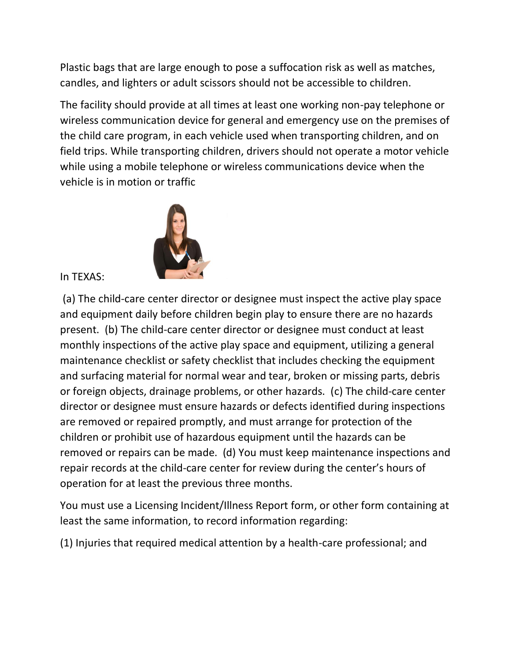Plastic bags that are large enough to pose a suffocation risk as well as matches, candles, and lighters or adult scissors should not be accessible to children.

The facility should provide at all times at least one working non-pay telephone or wireless communication device for general and emergency use on the premises of the child care program, in each vehicle used when transporting children, and on field trips. While transporting children, drivers should not operate a motor vehicle while using a mobile telephone or wireless communications device when the vehicle is in motion or traffic



In TEXAS:

(a) The child-care center director or designee must inspect the active play space and equipment daily before children begin play to ensure there are no hazards present. (b) The child-care center director or designee must conduct at least monthly inspections of the active play space and equipment, utilizing a general maintenance checklist or safety checklist that includes checking the equipment and surfacing material for normal wear and tear, broken or missing parts, debris or foreign objects, drainage problems, or other hazards. (c) The child-care center director or designee must ensure hazards or defects identified during inspections are removed or repaired promptly, and must arrange for protection of the children or prohibit use of hazardous equipment until the hazards can be removed or repairs can be made. (d) You must keep maintenance inspections and repair records at the child-care center for review during the center's hours of operation for at least the previous three months.

You must use a Licensing Incident/Illness Report form, or other form containing at least the same information, to record information regarding:

(1) Injuries that required medical attention by a health-care professional; and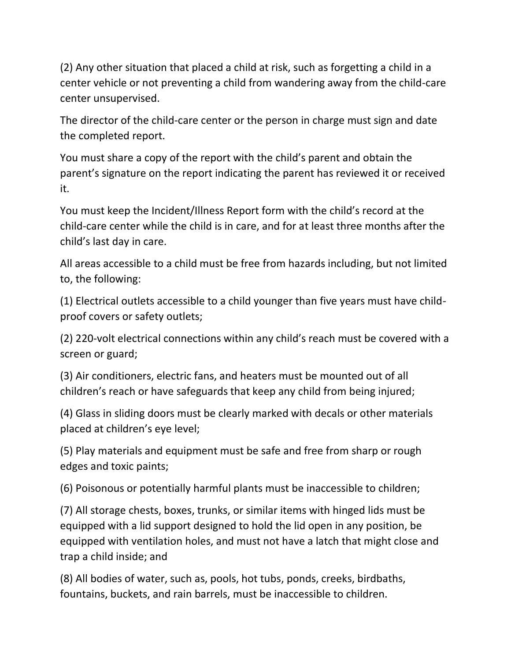(2) Any other situation that placed a child at risk, such as forgetting a child in a center vehicle or not preventing a child from wandering away from the child-care center unsupervised.

The director of the child-care center or the person in charge must sign and date the completed report.

You must share a copy of the report with the child's parent and obtain the parent's signature on the report indicating the parent has reviewed it or received it.

You must keep the Incident/Illness Report form with the child's record at the child-care center while the child is in care, and for at least three months after the child's last day in care.

All areas accessible to a child must be free from hazards including, but not limited to, the following:

(1) Electrical outlets accessible to a child younger than five years must have childproof covers or safety outlets;

(2) 220-volt electrical connections within any child's reach must be covered with a screen or guard;

(3) Air conditioners, electric fans, and heaters must be mounted out of all children's reach or have safeguards that keep any child from being injured;

(4) Glass in sliding doors must be clearly marked with decals or other materials placed at children's eye level;

(5) Play materials and equipment must be safe and free from sharp or rough edges and toxic paints;

(6) Poisonous or potentially harmful plants must be inaccessible to children;

(7) All storage chests, boxes, trunks, or similar items with hinged lids must be equipped with a lid support designed to hold the lid open in any position, be equipped with ventilation holes, and must not have a latch that might close and trap a child inside; and

(8) All bodies of water, such as, pools, hot tubs, ponds, creeks, birdbaths, fountains, buckets, and rain barrels, must be inaccessible to children.